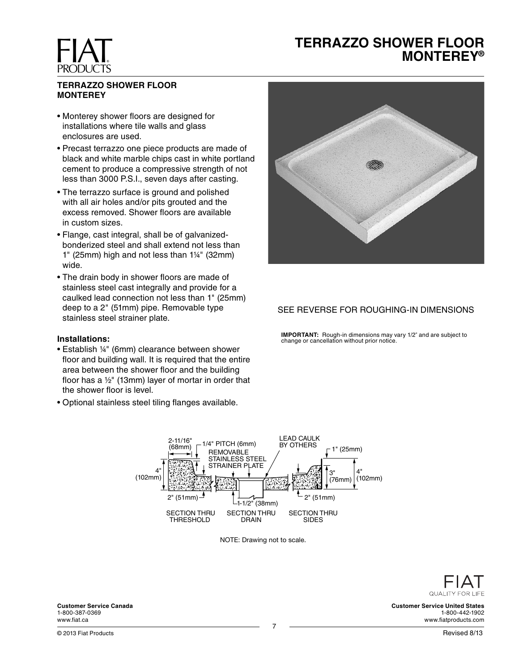# **TERRAZZO SHOWER FLOOR MONTEREY®**

## **TERRAZZO SHOWER FLOOR MONTEREY**

**FIAT** 

**PRODUCTS** 

- Monterey shower floors are designed for installations where tile walls and glass enclosures are used.
- Precast terrazzo one piece products are made of black and white marble chips cast in white portland cement to produce a compressive strength of not less than 3000 P.S.I., seven days after casting.
- The terrazzo surface is ground and polished with all air holes and/or pits grouted and the excess removed. Shower floors are available in custom sizes.
- Flange, cast integral, shall be of galvanizedbonderized steel and shall extend not less than 1" (25mm) high and not less than 1¼" (32mm) wide.
- The drain body in shower floors are made of stainless steel cast integrally and provide for a caulked lead connection not less than 1" (25mm) deep to a 2" (51mm) pipe. Removable type stainless steel strainer plate.

#### **Installations:**

- Establish ¼" (6mm) clearance between shower floor and building wall. It is required that the entire area between the shower floor and the building floor has a  $\frac{1}{2}$ " (13mm) layer of mortar in order that the shower floor is level.
- Optional stainless steel tiling flanges available.



## SEE REVERSE FOR ROUGHING-IN DIMENSIONS

**IMPORTANT:** Rough-in dimensions may vary 1/2" and are subject to change or cancellation without prior notice.



NOTE: Drawing not to scale.

QUALITY FOR LIFE

**Customer Service United States** 1-800-442-1902 www.fiatproducts.com

**Customer Service Canada** 1-800-387-0369 www.fiat.ca